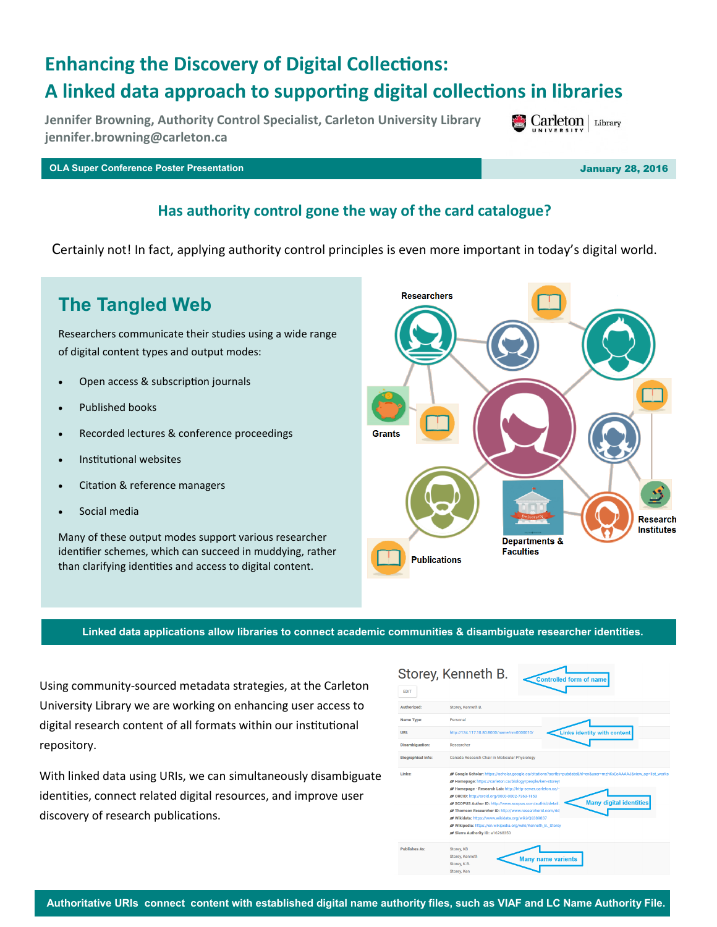# **Enhancing the Discovery of Digital Collections: A linked data approach to supporting digital collections in libraries**

**Jennifer Browning, Authority Control Specialist, Carleton University Library jennifer.browning@carleton.ca**

**OLA Super Conference Poster Presentation** January 28, 2016

#### **Has authority control gone the way of the card catalogue?**

Certainly not! In fact, applying authority control principles is even more important in today's digital world.

## **The Tangled Web**

Researchers communicate their studies using a wide range of digital content types and output modes:

- Open access & subscription journals
- Published books
- Recorded lectures & conference proceedings
- Institutional websites
- Citation & reference managers
- Social media

Many of these output modes support various researcher identifier schemes, which can succeed in muddying, rather than clarifying identities and access to digital content.

Grants **Research Institutes Departments & Faculties Publications Linked data applications allow libraries to connect academic communities & disambiguate researcher identities.** 

Using community-sourced metadata strategies, at the Carleton University Library we are working on enhancing user access to digital research content of all formats within our institutional repository.

With linked data using URIs, we can simultaneously disambiguate identities, connect related digital resources, and improve user discovery of research publications.

| <b>EDIT</b>               |                                                                                                               |
|---------------------------|---------------------------------------------------------------------------------------------------------------|
| Authorized:               | Storey, Kenneth B.                                                                                            |
| Name Type:                | Personal                                                                                                      |
| URI:                      | <b>Links identity with content</b><br>http://134.117.10.80:8000/name/nm0000010/                               |
| <b>Disambiguation:</b>    | Researcher                                                                                                    |
| <b>Biographical Info:</b> | Canada Research Chair in Molecular Physiology                                                                 |
| Links:                    | Google Scholar: https://scholar.google.ca/citations?sortby=pubdate&hl=en&user=mzhKxEoAAAAJ&view_op=list_works |
|                           | Homepage: https://carleton.ca/biology/people/ken-storey/                                                      |
|                           |                                                                                                               |
|                           | / Homepage - Research Lab: http://http-server.carleton.ca/~                                                   |
|                           | ORCID: http://orcid.org/0000-0002-7363-1853                                                                   |
|                           | <b>Many digital identities</b><br>SCOPUS Author ID: http://www.scopus.com/authid/detail.                      |
|                           | Thomson Researcher ID: http://www.researcherid.com/rid                                                        |
|                           | Wikidata: https://www.wikidata.org/wiki/Q6389837                                                              |
|                           | Wikipedia: https://en.wikipedia.org/wiki/Kenneth_B._Storev                                                    |
|                           | Sierra Authority ID: a16268350                                                                                |
| <b>Publishes As:</b>      | Storey, KB                                                                                                    |
|                           | Storey, Kenneth                                                                                               |
|                           | <b>Many name varients</b><br>Storey, K.B.                                                                     |



 $\operatorname{Carleton}$  | Library